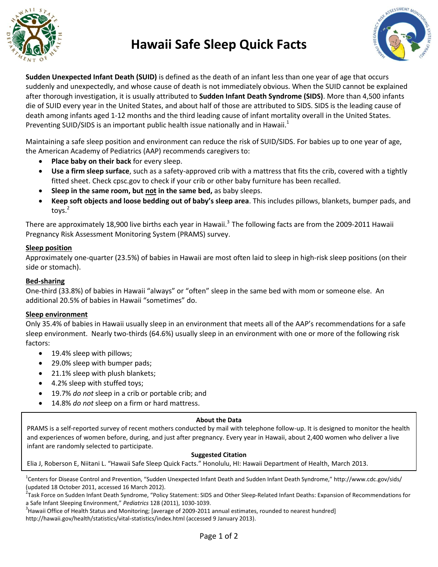

## **Hawaii Safe Sleep Quick Facts**



**Sudden Unexpected Infant Death (SUID)** is defined as the death of an infant less than one year of age that occurs suddenly and unexpectedly, and whose cause of death is not immediately obvious. When the SUID cannot be explained after thorough investigation, it is usually attributed to **Sudden Infant Death Syndrome (SIDS)**. More than 4,500 infants die of SUID every year in the United States, and about half of those are attributed to SIDS. SIDS is the leading cause of death among infants aged 1-12 months and the third leading cause of infant mortality overall in the United States. Preventing SUID/SIDS is an important public health issue nationally and in Hawaii.<sup>1</sup>

Maintaining a safe sleep position and environment can reduce the risk of SUID/SIDS. For babies up to one year of age, the American Academy of Pediatrics (AAP) recommends caregivers to:

- **Place baby on their back** for every sleep.
- **Use a firm sleep surface**, such as a safety-approved crib with a mattress that fits the crib, covered with a tightly fitted sheet. Check cpsc.gov to check if your crib or other baby furniture has been recalled.
- **Sleep in the same room, but not in the same bed,** as baby sleeps.
- **Keep soft objects and loose bedding out of baby's sleep area**. This includes pillows, blankets, bumper pads, and toys. $^2$

There are approximately 18,900 live births each year in Hawaii.<sup>3</sup> The following facts are from the 2009-2011 Hawaii Pregnancy Risk Assessment Monitoring System (PRAMS) survey.

## **Sleep position**

Approximately one-quarter (23.5%) of babies in Hawaii are most often laid to sleep in high-risk sleep positions (on their side or stomach).

### **Bed-sharing**

One-third (33.8%) of babies in Hawaii "always" or "often" sleep in the same bed with mom or someone else. An additional 20.5% of babies in Hawaii "sometimes" do.

#### **Sleep environment**

Only 35.4% of babies in Hawaii usually sleep in an environment that meets all of the AAP's recommendations for a safe sleep environment. Nearly two-thirds (64.6%) usually sleep in an environment with one or more of the following risk factors:

- 19.4% sleep with pillows;
- 29.0% sleep with bumper pads;
- 21.1% sleep with plush blankets;
- 4.2% sleep with stuffed toys;
- 19.7% *do not* sleep in a crib or portable crib; and
- 14.8% *do not* sleep on a firm or hard mattress.

#### **About the Data**

PRAMS is a self-reported survey of recent mothers conducted by mail with telephone follow-up. It is designed to monitor the health and experiences of women before, during, and just after pregnancy. Every year in Hawaii, about 2,400 women who deliver a live infant are randomly selected to participate.

#### **Suggested Citation**

Elia J, Roberson E, Niitani L. "Hawaii Safe Sleep Quick Facts." Honolulu, HI: Hawaii Department of Health, March 2013.

<sup>1</sup>Centers for Disease Control and Prevention, "Sudden Unexpected Infant Death and Sudden Infant Death Syndrome," http://www.cdc.gov/sids/ (updated 18 October 2011, accessed 16 March 2012).

<sup>2</sup>Task Force on Sudden Infant Death Syndrome, "Policy Statement: SIDS and Other Sleep-Related Infant Deaths: Expansion of Recommendations for a Safe Infant Sleeping Environment," *Pediatrics* 128 (2011), 1030-1039.

<sup>3</sup> Hawaii Office of Health Status and Monitoring; [average of 2009-2011 annual estimates, rounded to nearest hundred] http://hawaii.gov/health/statistics/vital-statistics/index.html (accessed 9 January 2013).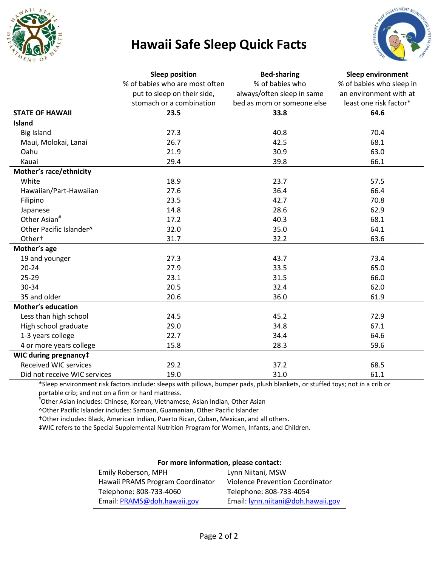

## **Hawaii Safe Sleep Quick Facts**



|                              | <b>Sleep position</b>          | <b>Bed-sharing</b>         | <b>Sleep environment</b> |
|------------------------------|--------------------------------|----------------------------|--------------------------|
|                              | % of babies who are most often | % of babies who            | % of babies who sleep in |
|                              | put to sleep on their side,    | always/often sleep in same | an environment with at   |
|                              | stomach or a combination       | bed as mom or someone else | least one risk factor*   |
| <b>STATE OF HAWAII</b>       | 23.5                           | 33.8                       | 64.6                     |
| <b>Island</b>                |                                |                            |                          |
| <b>Big Island</b>            | 27.3                           | 40.8                       | 70.4                     |
| Maui, Molokai, Lanai         | 26.7                           | 42.5                       | 68.1                     |
| Oahu                         | 21.9                           | 30.9                       | 63.0                     |
| Kauai                        | 29.4                           | 39.8                       | 66.1                     |
| Mother's race/ethnicity      |                                |                            |                          |
| White                        | 18.9                           | 23.7                       | 57.5                     |
| Hawaiian/Part-Hawaiian       | 27.6                           | 36.4                       | 66.4                     |
| Filipino                     | 23.5                           | 42.7                       | 70.8                     |
| Japanese                     | 14.8                           | 28.6                       | 62.9                     |
| Other Asian <sup>#</sup>     | 17.2                           | 40.3                       | 68.1                     |
| Other Pacific Islander^      | 32.0                           | 35.0                       | 64.1                     |
| Other <sup>+</sup>           | 31.7                           | 32.2                       | 63.6                     |
| Mother's age                 |                                |                            |                          |
| 19 and younger               | 27.3                           | 43.7                       | 73.4                     |
| $20 - 24$                    | 27.9                           | 33.5                       | 65.0                     |
| $25 - 29$                    | 23.1                           | 31.5                       | 66.0                     |
| 30-34                        | 20.5                           | 32.4                       | 62.0                     |
| 35 and older                 | 20.6                           | 36.0                       | 61.9                     |
| <b>Mother's education</b>    |                                |                            |                          |
| Less than high school        | 24.5                           | 45.2                       | 72.9                     |
| High school graduate         | 29.0                           | 34.8                       | 67.1                     |
| 1-3 years college            | 22.7                           | 34.4                       | 64.6                     |
| 4 or more years college      | 15.8                           | 28.3                       | 59.6                     |
| WIC during pregnancy‡        |                                |                            |                          |
| <b>Received WIC services</b> | 29.2                           | 37.2                       | 68.5                     |
| Did not receive WIC services | 19.0                           | 31.0                       | 61.1                     |

\*Sleep environment risk factors include: sleeps with pillows, bumper pads, plush blankets, or stuffed toys; not in a crib or portable crib; and not on a firm or hard mattress.

# Other Asian includes: Chinese, Korean, Vietnamese, Asian Indian, Other Asian

^Other Pacific Islander includes: Samoan, Guamanian, Other Pacific Islander

†Other includes: Black, American Indian, Puerto Rican, Cuban, Mexican, and all others.

‡WIC refers to the Special Supplemental Nutrition Program for Women, Infants, and Children.

| For more information, please contact: |                                        |  |
|---------------------------------------|----------------------------------------|--|
| Emily Roberson, MPH                   | Lynn Niitani, MSW                      |  |
| Hawaii PRAMS Program Coordinator      | <b>Violence Prevention Coordinator</b> |  |
| Telephone: 808-733-4060               | Telephone: 808-733-4054                |  |
| Email: PRAMS@doh.hawaii.gov           | Email: lynn.niitani@doh.hawaii.gov     |  |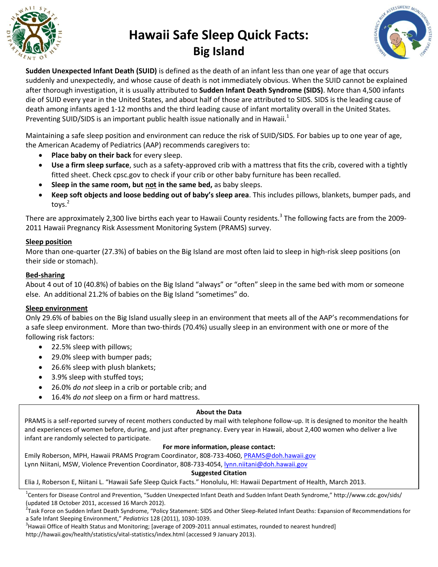

# **Hawaii Safe Sleep Quick Facts: Big Island**



**Sudden Unexpected Infant Death (SUID)** is defined as the death of an infant less than one year of age that occurs suddenly and unexpectedly, and whose cause of death is not immediately obvious. When the SUID cannot be explained after thorough investigation, it is usually attributed to **Sudden Infant Death Syndrome (SIDS)**. More than 4,500 infants die of SUID every year in the United States, and about half of those are attributed to SIDS. SIDS is the leading cause of death among infants aged 1-12 months and the third leading cause of infant mortality overall in the United States. Preventing SUID/SIDS is an important public health issue nationally and in Hawaii.<sup>1</sup>

Maintaining a safe sleep position and environment can reduce the risk of SUID/SIDS. For babies up to one year of age, the American Academy of Pediatrics (AAP) recommends caregivers to:

- **Place baby on their back** for every sleep.
- **Use a firm sleep surface**, such as a safety-approved crib with a mattress that fits the crib, covered with a tightly fitted sheet. Check cpsc.gov to check if your crib or other baby furniture has been recalled.
- **Sleep in the same room, but not in the same bed,** as baby sleeps.
- **Keep soft objects and loose bedding out of baby's sleep area**. This includes pillows, blankets, bumper pads, and toys. $^2$

There are approximately 2,300 live births each year to Hawaii County residents.<sup>3</sup> The following facts are from the 2009-2011 Hawaii Pregnancy Risk Assessment Monitoring System (PRAMS) survey.

## **Sleep position**

More than one-quarter (27.3%) of babies on the Big Island are most often laid to sleep in high-risk sleep positions (on their side or stomach).

#### **Bed-sharing**

About 4 out of 10 (40.8%) of babies on the Big Island "always" or "often" sleep in the same bed with mom or someone else. An additional 21.2% of babies on the Big Island "sometimes" do.

#### **Sleep environment**

Only 29.6% of babies on the Big Island usually sleep in an environment that meets all of the AAP's recommendations for a safe sleep environment. More than two-thirds (70.4%) usually sleep in an environment with one or more of the following risk factors:

- 22.5% sleep with pillows;
- 29.0% sleep with bumper pads;
- 26.6% sleep with plush blankets;
- 3.9% sleep with stuffed toys;
- 26.0% *do not* sleep in a crib or portable crib; and
- 16.4% *do not* sleep on a firm or hard mattress.

#### **About the Data**

PRAMS is a self-reported survey of recent mothers conducted by mail with telephone follow-up. It is designed to monitor the health and experiences of women before, during, and just after pregnancy. Every year in Hawaii, about 2,400 women who deliver a live infant are randomly selected to participate.

#### **For more information, please contact:**

Emily Roberson, MPH, Hawaii PRAMS Program Coordinator, 808-733-4060, [PRAMS@doh.hawaii.gov](mailto:PRAMS@doh.hawaii.gov) Lynn Niitani, MSW, Violence Prevention Coordinator, 808-733-4054, **Iynn.niitani@doh.hawaii.gov** 

#### **Suggested Citation**

#### Elia J, Roberson E, Niitani L. "Hawaii Safe Sleep Quick Facts." Honolulu, HI: Hawaii Department of Health, March 2013.

<sup>1</sup>Centers for Disease Control and Prevention, "Sudden Unexpected Infant Death and Sudden Infant Death Syndrome," http://www.cdc.gov/sids/ (updated 18 October 2011, accessed 16 March 2012).

<sup>2</sup>Task Force on Sudden Infant Death Syndrome, "Policy Statement: SIDS and Other Sleep-Related Infant Deaths: Expansion of Recommendations for a Safe Infant Sleeping Environment," *Pediatrics* 128 (2011), 1030-1039.

 $^3$ Hawaii Office of Health Status and Monitoring; [average of 2009-2011 annual estimates, rounded to nearest hundred] http://hawaii.gov/health/statistics/vital-statistics/index.html (accessed 9 January 2013).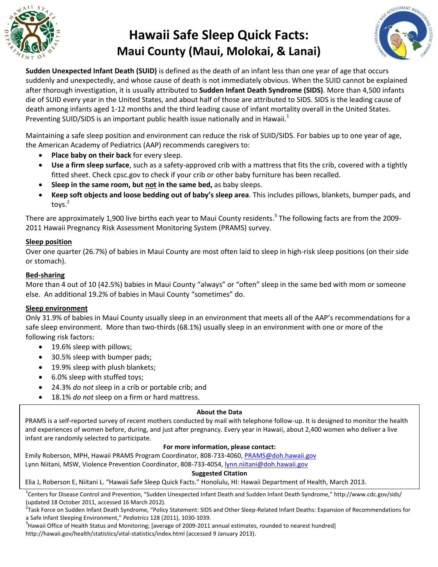

# **Hawaii Safe Sleep Quick Facts: Maui County (Maui, Molokai, & Lanai)**



**Sudden Unexpected Infant Death (SUID)** is defined as the death of an infant less than one year of age that occurs suddenly and unexpectedly, and whose cause of death is not immediately obvious. When the SUID cannot be explained after thorough investigation, it is usually attributed to **Sudden Infant Death Syndrome (SIDS)**. More than 4,500 infants die of SUID every year in the United States, and about half of those are attributed to SIDS. SIDS is the leading cause of death among infants aged 1-12 months and the third leading cause of infant mortality overall in the United States. Preventing SUID/SIDS is an important public health issue nationally and in Hawaii.<sup>1</sup>

Maintaining a safe sleep position and environment can reduce the risk of SUID/SIDS. For babies up to one year of age, the American Academy of Pediatrics (AAP) recommends caregivers to:

- **Place baby on their back** for every sleep.
- **Use a firm sleep surface**, such as a safety-approved crib with a mattress that fits the crib, covered with a tightly fitted sheet. Check cpsc.gov to check if your crib or other baby furniture has been recalled.
- **Sleep in the same room, but not in the same bed,** as baby sleeps.
- **Keep soft objects and loose bedding out of baby's sleep area**. This includes pillows, blankets, bumper pads, and toys. $^2$

There are approximately 1,900 live births each year to Maui County residents.<sup>3</sup> The following facts are from the 2009-2011 Hawaii Pregnancy Risk Assessment Monitoring System (PRAMS) survey.

#### **Sleep position**

Over one quarter (26.7%) of babies in Maui County are most often laid to sleep in high-risk sleep positions (on their side or stomach).

#### **Bed-sharing**

More than 4 out of 10 (42.5%) babies in Maui County "always" or "often" sleep in the same bed with mom or someone else. An additional 19.2% of babies in Maui County "sometimes" do.

#### **Sleep environment**

Only 31.9% of babies in Maui County usually sleep in an environment that meets all of the AAP's recommendations for a safe sleep environment. More than two-thirds (68.1%) usually sleep in an environment with one or more of the following risk factors:

- 19.6% sleep with pillows;
- 30.5% sleep with bumper pads;
- 19.9% sleep with plush blankets;
- 6.0% sleep with stuffed toys;
- 24.3% *do not* sleep in a crib or portable crib; and
- 18.1% *do not* sleep on a firm or hard mattress.

#### **About the Data**

PRAMS is a self-reported survey of recent mothers conducted by mail with telephone follow-up. It is designed to monitor the health and experiences of women before, during, and just after pregnancy. Every year in Hawaii, about 2,400 women who deliver a live infant are randomly selected to participate.

#### **For more information, please contact:**

Emily Roberson, MPH, Hawaii PRAMS Program Coordinator, 808-733-4060, [PRAMS@doh.hawaii.gov](mailto:PRAMS@doh.hawaii.gov) Lynn Niitani, MSW, Violence Prevention Coordinator, 808-733-4054[, lynn.niitani@doh.hawaii.gov](mailto:lynn.niitani@doh.hawaii.gov)

#### **Suggested Citation**

#### Elia J, Roberson E, Niitani L. "Hawaii Safe Sleep Quick Facts." Honolulu, HI: Hawaii Department of Health, March 2013.

<sup>1</sup>Centers for Disease Control and Prevention, "Sudden Unexpected Infant Death and Sudden Infant Death Syndrome," http://www.cdc.gov/sids/ (updated 18 October 2011, accessed 16 March 2012).

<sup>2</sup>Task Force on Sudden Infant Death Syndrome, "Policy Statement: SIDS and Other Sleep-Related Infant Deaths: Expansion of Recommendations for a Safe Infant Sleeping Environment," *Pediatrics* 128 (2011), 1030-1039.

 $3$ Hawaii Office of Health Status and Monitoring; [average of 2009-2011 annual estimates, rounded to nearest hundred] http://hawaii.gov/health/statistics/vital-statistics/index.html (accessed 9 January 2013).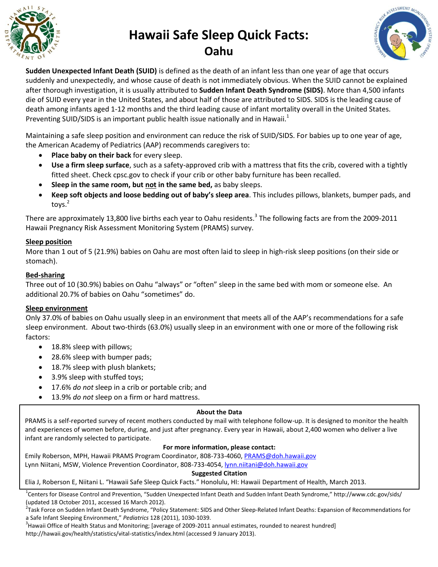

## **Hawaii Safe Sleep Quick Facts: Oahu**



**Sudden Unexpected Infant Death (SUID)** is defined as the death of an infant less than one year of age that occurs suddenly and unexpectedly, and whose cause of death is not immediately obvious. When the SUID cannot be explained after thorough investigation, it is usually attributed to **Sudden Infant Death Syndrome (SIDS)**. More than 4,500 infants die of SUID every year in the United States, and about half of those are attributed to SIDS. SIDS is the leading cause of death among infants aged 1-12 months and the third leading cause of infant mortality overall in the United States. Preventing SUID/SIDS is an important public health issue nationally and in Hawaii.<sup>1</sup>

Maintaining a safe sleep position and environment can reduce the risk of SUID/SIDS. For babies up to one year of age, the American Academy of Pediatrics (AAP) recommends caregivers to:

- **Place baby on their back** for every sleep.
- **Use a firm sleep surface**, such as a safety-approved crib with a mattress that fits the crib, covered with a tightly fitted sheet. Check cpsc.gov to check if your crib or other baby furniture has been recalled.
- **Sleep in the same room, but not in the same bed,** as baby sleeps.
- **Keep soft objects and loose bedding out of baby's sleep area**. This includes pillows, blankets, bumper pads, and toys. $^2$

There are approximately 13,800 live births each year to Oahu residents.<sup>3</sup> The following facts are from the 2009-2011 Hawaii Pregnancy Risk Assessment Monitoring System (PRAMS) survey.

## **Sleep position**

More than 1 out of 5 (21.9%) babies on Oahu are most often laid to sleep in high-risk sleep positions (on their side or stomach).

## **Bed-sharing**

Three out of 10 (30.9%) babies on Oahu "always" or "often" sleep in the same bed with mom or someone else. An additional 20.7% of babies on Oahu "sometimes" do.

#### **Sleep environment**

Only 37.0% of babies on Oahu usually sleep in an environment that meets all of the AAP's recommendations for a safe sleep environment. About two-thirds (63.0%) usually sleep in an environment with one or more of the following risk factors:

- 18.8% sleep with pillows;
- 28.6% sleep with bumper pads;
- 18.7% sleep with plush blankets;
- 3.9% sleep with stuffed toys;
- 17.6% *do not* sleep in a crib or portable crib; and
- 13.9% *do not* sleep on a firm or hard mattress.

#### **About the Data**

PRAMS is a self-reported survey of recent mothers conducted by mail with telephone follow-up. It is designed to monitor the health and experiences of women before, during, and just after pregnancy. Every year in Hawaii, about 2,400 women who deliver a live infant are randomly selected to participate.

## **For more information, please contact:**

Emily Roberson, MPH, Hawaii PRAMS Program Coordinator, 808-733-4060[, PRAMS@doh.hawaii.gov](mailto:PRAMS@doh.hawaii.gov) Lynn Niitani, MSW, Violence Prevention Coordinator, 808-733-4054, [lynn.niitani@doh.hawaii.gov](mailto:lynn.niitani@doh.hawaii.gov)

**Suggested Citation**

Elia J, Roberson E, Niitani L. "Hawaii Safe Sleep Quick Facts." Honolulu, HI: Hawaii Department of Health, March 2013.

<sup>1</sup>Centers for Disease Control and Prevention, "Sudden Unexpected Infant Death and Sudden Infant Death Syndrome," http://www.cdc.gov/sids/ (updated 18 October 2011, accessed 16 March 2012).

<sup>2</sup>Task Force on Sudden Infant Death Syndrome, "Policy Statement: SIDS and Other Sleep-Related Infant Deaths: Expansion of Recommendations for a Safe Infant Sleeping Environment," *Pediatrics* 128 (2011), 1030-1039.

 $3$ Hawaii Office of Health Status and Monitoring; [average of 2009-2011 annual estimates, rounded to nearest hundred] http://hawaii.gov/health/statistics/vital-statistics/index.html (accessed 9 January 2013).